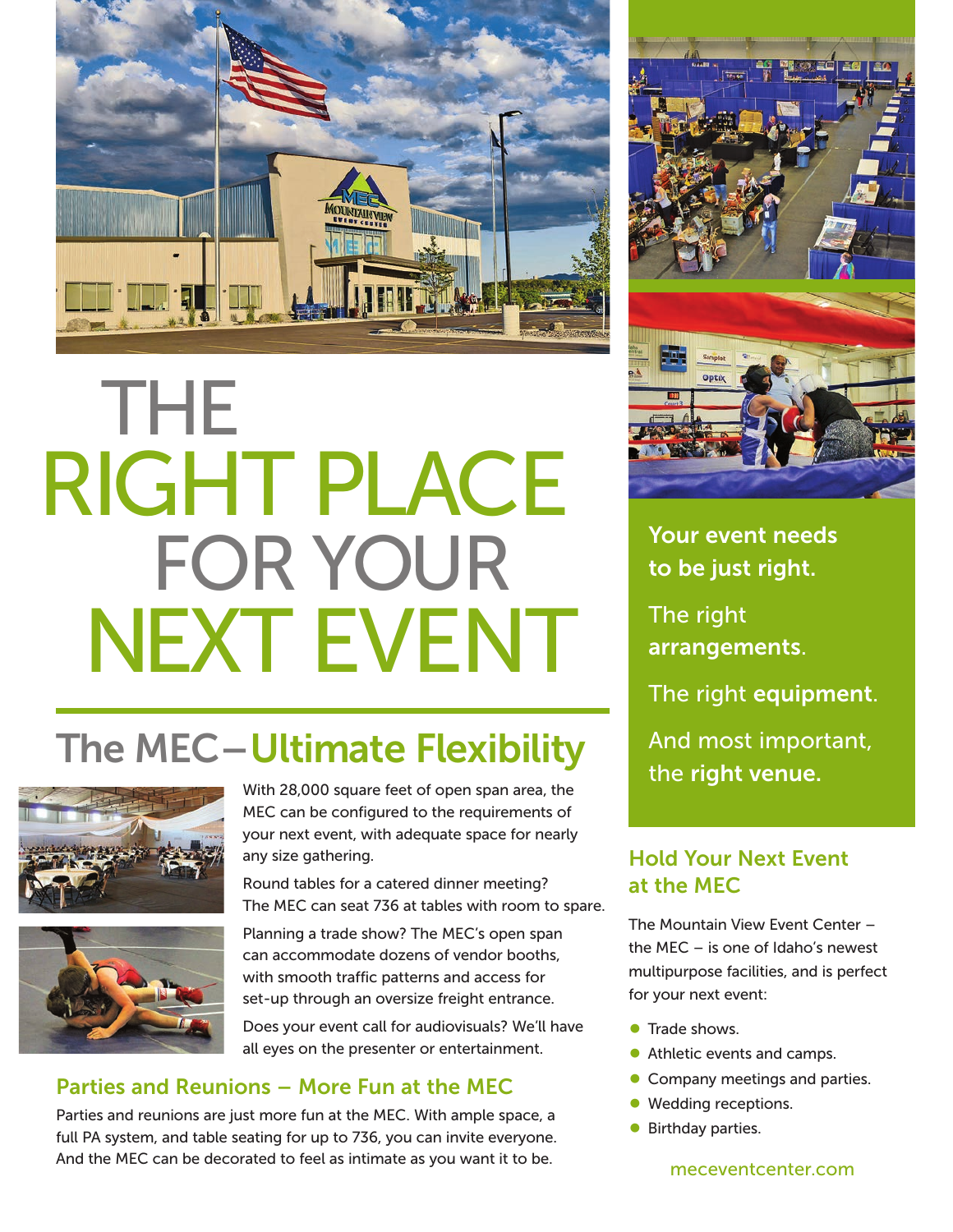

# THE RIGHT PLACE FOR YOUR NEXT EVENT

## The MEC–Ultimate Flexibility





With 28,000 square feet of open span area, the MEC can be configured to the requirements of your next event, with adequate space for nearly any size gathering.

Round tables for a catered dinner meeting? The MEC can seat 736 at tables with room to spare.

Planning a trade show? The MEC's open span can accommodate dozens of vendor booths, with smooth traffic patterns and access for set-up through an oversize freight entrance.

Does your event call for audiovisuals? We'll have all eyes on the presenter or entertainment.

### Parties and Reunions – More Fun at the MEC

Parties and reunions are just more fun at the MEC. With ample space, a full PA system, and table seating for up to 736, you can invite everyone. And the MEC can be decorated to feel as intimate as you want it to be.



Your event needs to be just right.

The right arrangements.

The right equipment.

And most important, the right venue.

### Hold Your Next Event at the MEC

The Mountain View Event Center – the MEC – is one of Idaho's newest multipurpose facilities, and is perfect for your next event:

- **Trade shows.**
- Athletic events and camps.
- **Company meetings and parties.**
- **Wedding receptions.**
- **Birthday parties.**